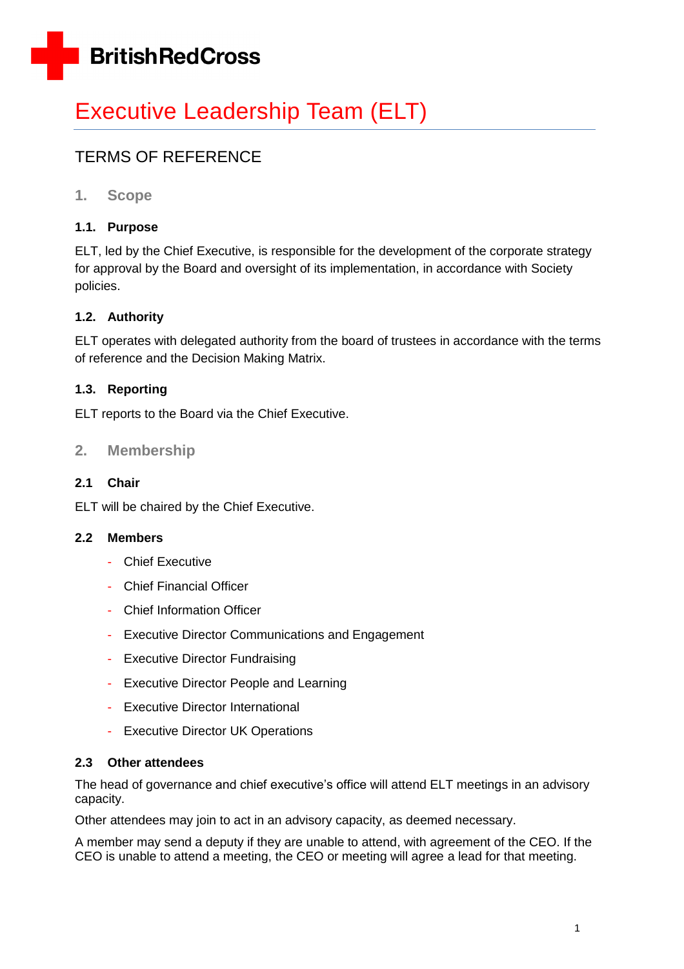

# Executive Leadership Team (ELT)

# TERMS OF REFERENCE

**1. Scope**

#### **1.1. Purpose**

ELT, led by the Chief Executive, is responsible for the development of the corporate strategy for approval by the Board and oversight of its implementation, in accordance with Society policies.

#### **1.2. Authority**

ELT operates with delegated authority from the board of trustees in accordance with the terms of reference and the Decision Making Matrix.

#### **1.3. Reporting**

ELT reports to the Board via the Chief Executive.

#### **2. Membership**

#### **2.1 Chair**

ELT will be chaired by the Chief Executive.

#### **2.2 Members**

- Chief Executive
- Chief Financial Officer
- Chief Information Officer
- Executive Director Communications and Engagement
- Executive Director Fundraising
- Executive Director People and Learning
- Executive Director International
- Executive Director UK Operations

#### **2.3 Other attendees**

The head of governance and chief executive's office will attend ELT meetings in an advisory capacity.

Other attendees may join to act in an advisory capacity, as deemed necessary.

A member may send a deputy if they are unable to attend, with agreement of the CEO. If the CEO is unable to attend a meeting, the CEO or meeting will agree a lead for that meeting.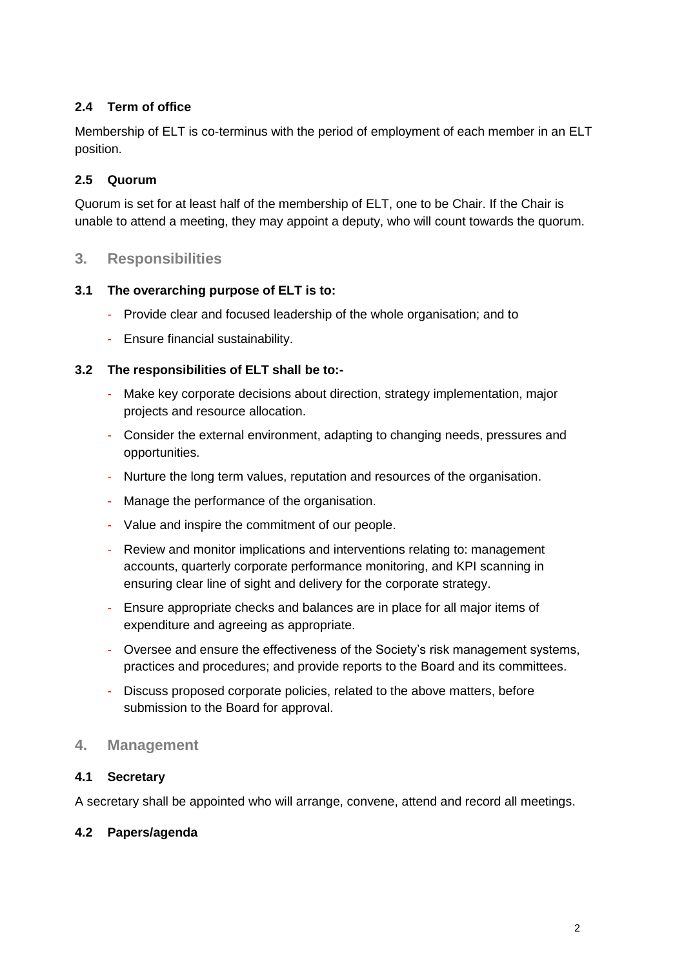#### **2.4 Term of office**

Membership of ELT is co-terminus with the period of employment of each member in an ELT position.

#### **2.5 Quorum**

Quorum is set for at least half of the membership of ELT, one to be Chair. If the Chair is unable to attend a meeting, they may appoint a deputy, who will count towards the quorum.

#### **3. Responsibilities**

#### **3.1 The overarching purpose of ELT is to:**

- Provide clear and focused leadership of the whole organisation; and to
- Ensure financial sustainability.

#### **3.2 The responsibilities of ELT shall be to:-**

- Make key corporate decisions about direction, strategy implementation, major projects and resource allocation.
- Consider the external environment, adapting to changing needs, pressures and opportunities.
- Nurture the long term values, reputation and resources of the organisation.
- Manage the performance of the organisation.
- Value and inspire the commitment of our people.
- Review and monitor implications and interventions relating to: management accounts, quarterly corporate performance monitoring, and KPI scanning in ensuring clear line of sight and delivery for the corporate strategy.
- Ensure appropriate checks and balances are in place for all major items of expenditure and agreeing as appropriate.
- Oversee and ensure the effectiveness of the Society's risk management systems, practices and procedures; and provide reports to the Board and its committees.
- Discuss proposed corporate policies, related to the above matters, before submission to the Board for approval.

#### **4. Management**

#### **4.1 Secretary**

A secretary shall be appointed who will arrange, convene, attend and record all meetings.

#### **4.2 Papers/agenda**